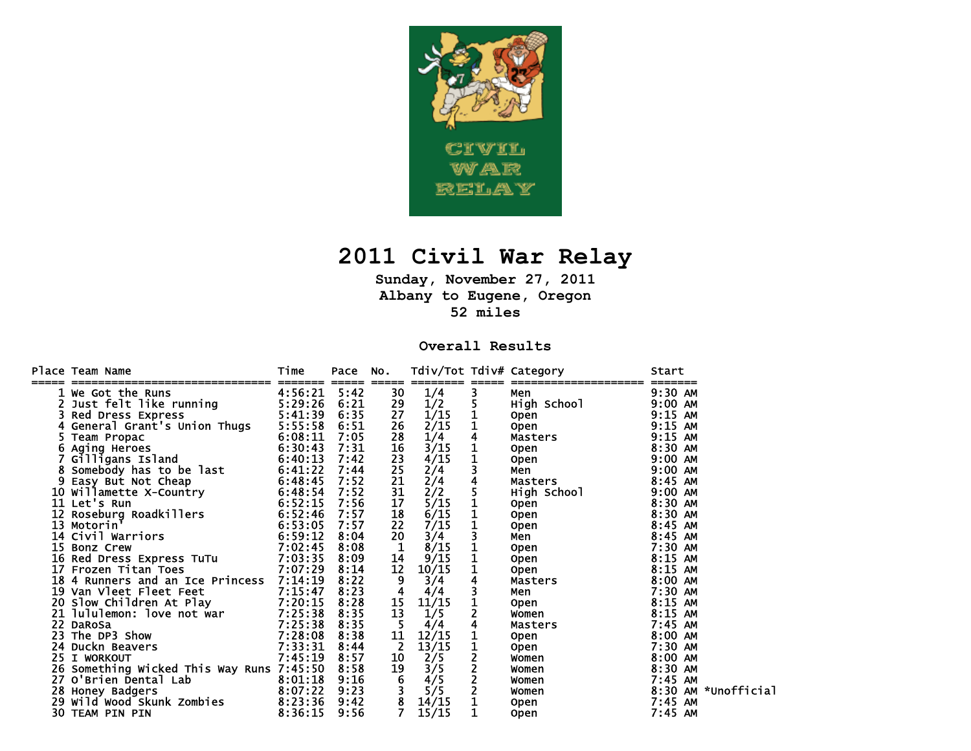

## **2011 Civil War Relay**

**Sunday, November 27, 2011 Albany to Eugene, Oregon 52 miles** 

## **Overall Results**

|    | Place Team Name<br>------------------------------                                                                                                                                                                                                  | Time<br>======== ===== | Pace | No.<br>=====                           |       |   | Tdiv/Tot Tdiv# Category<br>====================                                                                                                                                                                                    | Start               |
|----|----------------------------------------------------------------------------------------------------------------------------------------------------------------------------------------------------------------------------------------------------|------------------------|------|----------------------------------------|-------|---|------------------------------------------------------------------------------------------------------------------------------------------------------------------------------------------------------------------------------------|---------------------|
|    | 1 We Got the Runs                                                                                                                                                                                                                                  | 4:56:21                | 5:42 | 30                                     | 1/4   | 3 | Men                                                                                                                                                                                                                                | 9:30 AM             |
|    | 2 Just felt like running<br>3 Red Dress Express                                                                                                                                                                                                    | 5:29:26                | 6:21 | 29                                     | 1/2   |   | High School<br>Open                                                                                                                                                                                                                | $9:00$ AM           |
|    | Red Dress Express                                                                                                                                                                                                                                  | 5:41:39                | 6:35 | 27                                     | 1/15  |   |                                                                                                                                                                                                                                    | $9:15$ AM           |
|    | General Grant's Union Thugs                                                                                                                                                                                                                        | 5:55:58                | 6:51 | 26                                     | 2/15  |   | Open                                                                                                                                                                                                                               | 9:15 AM             |
|    | $6:08:11$<br>$6:30:43$<br>Team Propac                                                                                                                                                                                                              |                        | 7:05 | 28                                     | 1/4   |   | Up <del>en</del><br>Masters<br>Onen                                                                                                                                                                                                | 9:15 AM             |
|    | 6 Aging Heroes                                                                                                                                                                                                                                     |                        | 7:31 | 16                                     | 3/15  |   |                                                                                                                                                                                                                                    | 8:30 AM             |
|    |                                                                                                                                                                                                                                                    |                        | 7:42 | 23                                     | 4/15  |   | Open                                                                                                                                                                                                                               | $9:00$ AM           |
|    |                                                                                                                                                                                                                                                    |                        | 7:44 | 25                                     | 2/4   |   | Men                                                                                                                                                                                                                                | $9:00$ AM           |
|    | 8 Aging Heroes<br>7 Gilligans Island<br>8 Somebody has to be last<br>9 Easy But Not Cheap<br>10 Willamette X-Country<br>11 Let's Run<br>12 Roseburg Roadkillers<br>13 Motorin' 6:52:15<br>13 Motorin' 6:53:05<br>14 Civil Warriors<br>15 Box 18 Ci |                        | 7:52 | 21                                     | 2/4   |   | Masters <b>Master</b>                                                                                                                                                                                                              | 8:45 AM             |
|    |                                                                                                                                                                                                                                                    |                        | 7:52 | 31                                     | 2/2   |   | High School<br>Open<br>Open<br>Open                                                                                                                                                                                                | $9:00$ AM           |
|    |                                                                                                                                                                                                                                                    |                        | 7:56 | 17                                     | 5/15  |   |                                                                                                                                                                                                                                    | 8:30 AM             |
|    |                                                                                                                                                                                                                                                    |                        | 7:57 | 18                                     | 6/15  |   |                                                                                                                                                                                                                                    | 8:30 AM             |
|    |                                                                                                                                                                                                                                                    |                        | 7:57 | 22                                     | 7/15  |   | <b>Open</b>                                                                                                                                                                                                                        | 8:45 AM             |
|    |                                                                                                                                                                                                                                                    |                        | 8:04 | 20                                     | 3/4   |   | Men                                                                                                                                                                                                                                | 8:45 AM             |
| 15 | 7:02:45<br><b>Bonz Crew</b>                                                                                                                                                                                                                        |                        | 8:08 | $\mathbf{1}$                           | 8/15  |   | Open                                                                                                                                                                                                                               | 7:30 AM             |
|    | 16 Red Dress Express TuTu 7:03:35                                                                                                                                                                                                                  |                        | 8:09 | 14                                     | 9/15  |   | <b>Open</b>                                                                                                                                                                                                                        | $8:15$ AM           |
|    | 17 Frozen Titan Toes                                                                                                                                                                                                                               | 7:07:29                | 8:14 | 12                                     | 10/15 |   | <b>Open</b>                                                                                                                                                                                                                        | $8:15$ AM           |
|    | 18 4 Runners and an Ice Princess 7:14:19                                                                                                                                                                                                           |                        | 8:22 | 9                                      | 3/4   |   | Masters<br>Man                                                                                                                                                                                                                     | 8:00 AM             |
|    |                                                                                                                                                                                                                                                    |                        | 8:23 | $\overline{\mathbf{4}}$                | 4/4   |   | Men                                                                                                                                                                                                                                | 7:30 AM             |
|    | 19 Van Vleet Fleet Feet<br>20 Slow Children At Play 7:20:15                                                                                                                                                                                        |                        | 8:28 | 15                                     | 11/15 |   | <b>Open compared to the compared of the compared of the compared of the compared of the compared of the compared of the compared of the compared of the compared of the compared of the compared of the compared of the compar</b> | $8:15$ AM           |
|    | 21 Jululemon: love not war 7:25:38<br>22 DaRoSa 7:25:38<br>23 The DP3 Show 7:25:38                                                                                                                                                                 |                        | 8:35 | 13                                     | 1/5   |   | <b>Women</b>                                                                                                                                                                                                                       | 8:15 AM             |
|    |                                                                                                                                                                                                                                                    |                        | 8:35 | 5                                      | 4/4   |   | Masters                                                                                                                                                                                                                            | 7:45 AM             |
|    |                                                                                                                                                                                                                                                    |                        | 8:38 | 11                                     | 12/15 |   | Open                                                                                                                                                                                                                               | 8:00 AM             |
|    | 7:33:31<br>24 Duckn Beavers                                                                                                                                                                                                                        |                        | 8:44 | -2                                     | 13/15 |   | <b>Open</b>                                                                                                                                                                                                                        | 7:30 AM             |
|    | 25 I WORKOUT                                                                                                                                                                                                                                       | 7:45:19                | 8:57 | 10                                     | 2/5   |   | Women                                                                                                                                                                                                                              | 8:00 AM             |
|    | 26 Something Wicked This Way Runs 7:45:50                                                                                                                                                                                                          |                        | 8:58 | $\begin{array}{c} 19 \\ 6 \end{array}$ | 3/5   |   | Women                                                                                                                                                                                                                              | 8:30 AM             |
|    | $\begin{array}{cc} 8:01:18 \\ 8:07:22 \end{array}$<br>27 O'Brien Dental Lab                                                                                                                                                                        |                        | 9:16 |                                        | 4/5   |   | women                                                                                                                                                                                                                              | 7:45 AM             |
|    | 28 Honey Badgers                                                                                                                                                                                                                                   |                        | 9:23 |                                        | 5/5   |   | Women                                                                                                                                                                                                                              | 8:30 AM *Unofficial |
|    | 29 wild wood Skunk zombies<br>30 TEAM PIN PIN 8:36:15                                                                                                                                                                                              |                        | 9:42 | 8                                      | 14/15 |   | <b>Open</b>                                                                                                                                                                                                                        | 7:45 AM             |
|    |                                                                                                                                                                                                                                                    |                        | 9:56 |                                        | 15/15 |   | <b>Open</b>                                                                                                                                                                                                                        | 7:45 AM             |